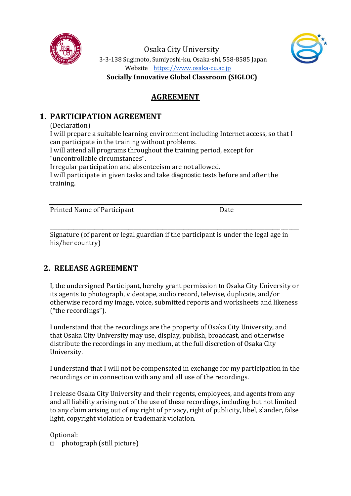

Osaka City University 3-3-138 Sugimoto, Sumiyoshi-ku, Osaka-shi, 558-8585 Japan Website [https://www.osaka-cu.ac.jp](https://www.osaka-cu.ac.jp/)



**Socially Innovative Global Classroom (SIGLOC)**

## **AGREEMENT**

## **1. PARTICIPATION AGREEMENT**

(Declaration)

I will prepare a suitable learning environment including Internet access, so that I can participate in the training without problems.

I will attend all programs throughout the training period, except for "uncontrollable circumstances".

Irregular participation and absenteeism are not allowed.

I will participate in given tasks and take diagnostic tests before and after the training.

Printed Name of Participant **Date** Date

Signature (of parent or legal guardian if the participant is under the legal age in his/her country)

\_\_\_\_\_\_\_\_\_\_\_\_\_\_\_\_\_\_\_\_\_\_\_\_\_\_\_\_\_\_\_\_\_\_\_\_\_\_\_\_\_\_\_\_\_\_\_\_\_\_\_\_\_\_\_\_\_\_\_\_\_\_\_\_\_\_\_\_\_\_\_\_\_\_\_\_\_\_\_\_\_\_\_\_\_\_\_\_\_\_\_\_\_\_\_

## **2. RELEASE AGREEMENT**

I, the undersigned Participant, hereby grant permission to Osaka City University or its agents to photograph, videotape, audio record, televise, duplicate, and/or otherwise record my image, voice, submitted reports and worksheets and likeness ("the recordings").

I understand that the recordings are the property of Osaka City University, and that Osaka City University may use, display, publish, broadcast, and otherwise distribute the recordings in any medium, at the full discretion of Osaka City University.

I understand that I will not be compensated in exchange for my participation in the recordings or in connection with any and all use of the recordings.

I release Osaka City University and their regents, employees, and agents from any and all liability arising out of the use of these recordings, including but not limited to any claim arising out of my right of privacy, right of publicity, libel, slander, false light, copyright violation or trademark violation.

Optional:

□ photograph (still picture)